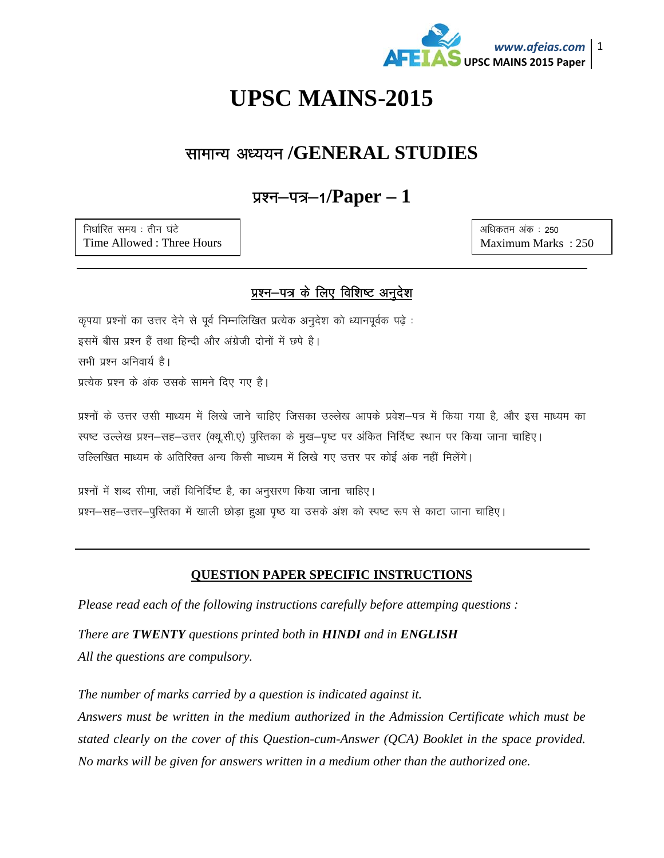

# **UPSC MAINS-2015**

### सामान्य अध्ययन /GENERAL STUDIES

## प्रश्न-पत्र-1/ $Paper - 1$

निर्धारित समय: तीन घंटे Time Allowed: Three Hours अधिकतम अंक: 250 Maximum Marks: 250

#### प्रश्न-पत्र के लिए विशिष्ट अनुदेश

कृपया प्रश्नों का उत्तर देने से पूर्व निम्नलिखित प्रत्येक अनुदेश को ध्यानपूर्वक पढ़े : इसमें बीस प्रश्न हैं तथा हिन्दी और अंग्रेजी दोनों में छपे है। सभी प्रश्न अनिवार्य है। प्रत्येक प्रश्न के अंक उसके सामने दिए गए है।

प्रश्नों के उत्तर उसी माध्यम में लिखे जाने चाहिए जिसका उल्लेख आपके प्रवेश–पत्र में किया गया है, और इस माध्यम का स्पष्ट उल्लेख प्रश्न–सह–उत्तर (क्यु.सी.ए) पुस्तिका के मुख–पुष्ट पर अंकित निर्दिष्ट स्थान पर किया जाना चाहिए। उल्लिखित माध्यम के अतिरिक्त अन्य किसी माध्यम में लिखे गए उत्तर पर कोई अंक नहीं मिलेंगे।

प्रश्नों में शब्द सीमा, जहाँ विनिर्दिष्ट है, का अनुसरण किया जाना चाहिए। प्रश्न–सह–उत्तर–पुरितका में खाली छोड़ा हुआ पृष्ठ या उसके अंश को स्पष्ट रूप से काटा जाना चाहिए।

#### **QUESTION PAPER SPECIFIC INSTRUCTIONS**

Please read each of the following instructions carefully before attemping questions :

There are **TWENTY** questions printed both in **HINDI** and in **ENGLISH** All the questions are compulsory.

The number of marks carried by a question is indicated against it. Answers must be written in the medium authorized in the Admission Certificate which must be stated clearly on the cover of this Question-cum-Answer (QCA) Booklet in the space provided. No marks will be given for answers written in a medium other than the authorized one.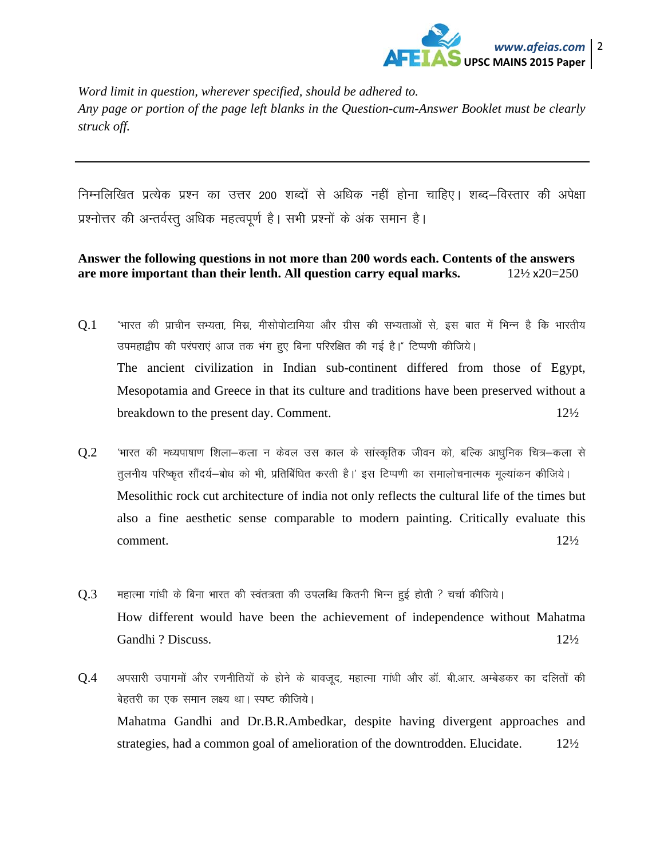

*Word limit in question, wherever specified, should be adhered to. Any page or portion of the page left blanks in the Question-cum-Answer Booklet must be clearly struck off.* 

निम्नलिखित प्रत्येक प्रश्न का उत्तर 200 शब्दों से अधिक नहीं होना चाहिए। शब्द–विस्तार की अपेक्षा प्रश्नोत्तर की अन्तर्वस्तू अधिक महत्वपूर्ण है। सभी प्रश्नों के अंक समान है।

#### **Answer the following questions in not more than 200 words each. Contents of the answers are more important than their lenth. All question carry equal marks.** 12½ x20=250

- $Q.1$  "भारत की प्राचीन सभ्यता, मिस्र, मीसोपोटामिया और ग्रीस की सभ्यताओं से, इस बात में भिन्न है कि भारतीय उपमहाद्वीप की परंपराएं आज तक भंग हुए बिना परिरक्षित की गई है।" टिप्पणी कीजिये। The ancient civilization in Indian sub-continent differed from those of Egypt, Mesopotamia and Greece in that its culture and traditions have been preserved without a breakdown to the present day. Comment. 12<sup>1</sup>/<sub>2</sub>
- $Q.2$  ^ 'भारत की मध्यपाषाण शिला-कला न केवल उस काल के सांस्कृतिक जीवन को, बल्कि आधुनिक चित्र-कला से तूलनीय परिष्कृत सौंदर्य—बोध को भी, प्रतिबिंधित करती है।' इस टिप्पणी का समालोचनात्मक मूल्यांकन कीजिये। Mesolithic rock cut architecture of india not only reflects the cultural life of the times but also a fine aesthetic sense comparable to modern painting. Critically evaluate this  $\epsilon$  comment.  $12\frac{1}{2}$
- $Q.3$  सहात्मा गांधी के बिना भारत की स्वंतत्रता की उपलब्धि कितनी भिन्न हुई होती ? चर्चा कीजिये। How different would have been the achievement of independence without Mahatma Gandhi ? Discuss. 12½
- $Q.4$  अपसारी उपागमों और रणनीतियों के होने के बावजूद, महात्मा गांधी और डॉ. बी.आर. अम्बेडकर का दलितों की बेहतरी का एक समान लक्ष्य था। स्पष्ट कीजिये। Mahatma Gandhi and Dr.B.R.Ambedkar, despite having divergent approaches and strategies, had a common goal of amelioration of the downtrodden. Elucidate. 121/2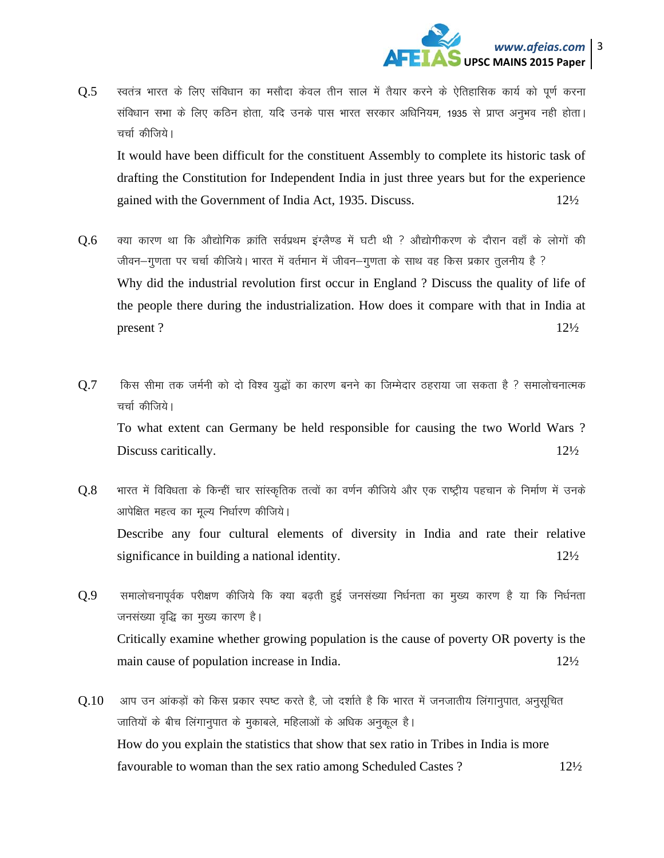

 $Q.5$  स्वतंत्र भारत के लिए संविधान का मसौदा केवल तीन साल में तैयार करने के ऐतिहासिक कार्य को पूर्ण करना संविधान सभा के लिए कठिन होता, यदि उनके पास भारत सरकार अधिनियम, 1935 से प्राप्त अनुभव नही होता। चर्चा कीजिये।

It would have been difficult for the constituent Assembly to complete its historic task of drafting the Constitution for Independent India in just three years but for the experience gained with the Government of India Act, 1935. Discuss. 12½

- $Q.6$  क्या कारण था कि औद्योगिक क्रांति सर्वप्रथम इंग्लैण्ड में घटी थी ? औद्योगीकरण के दौरान वहाँ के लोगों की जीवन—गुणता पर चर्चा कीजिये। भारत में वर्तमान में जीवन—गुणता के साथ वह किस प्रकार तुलनीय है ? Why did the industrial revolution first occur in England ? Discuss the quality of life of the people there during the industrialization. How does it compare with that in India at present ?  $12\frac{1}{2}$
- $Q.7$  fिकस सीमा तक जर्मनी को दो विश्व युद्धों का कारण बनने का जिम्मेदार ठहराया जा सकता है ? समालोचनात्मक चर्चा कीजिये। To what extent can Germany be held responsible for causing the two World Wars ? Discuss caritically. 12½
- $Q.8$  भारत में विविधता के किन्हीं चार सांस्कृतिक तत्वों का वर्णन कीजिये और एक राष्ट्रीय पहचान के निर्माण में उनके आपेक्षित महत्व का मूल्य निर्धारण कीजिये। Describe any four cultural elements of diversity in India and rate their relative significance in building a national identity. 12<sup>1</sup>/<sub>2</sub>
- $Q.9$  समालोचनापूर्वक परीक्षण कीजिये कि क्या बढ़ती हुई जनसंख्या निर्धनता का मुख्य कारण है या कि निर्धनता जनसंख्या वृद्धि का मुख्य कारण है। Critically examine whether growing population is the cause of poverty OR poverty is the main cause of population increase in India. 12<sup>1</sup>/<sub>2</sub>
- $Q.10$  valu उन आंकड़ों को किस प्रकार स्पष्ट करते है, जो दर्शाते है कि भारत में जनजातीय लिंगानुपात, अनुसुचित जातियों के बीच लिगानुपात के मुकाबले, महिलाओं के अधिक अनुकूल है। How do you explain the statistics that show that sex ratio in Tribes in India is more favourable to woman than the sex ratio among Scheduled Castes ? 12½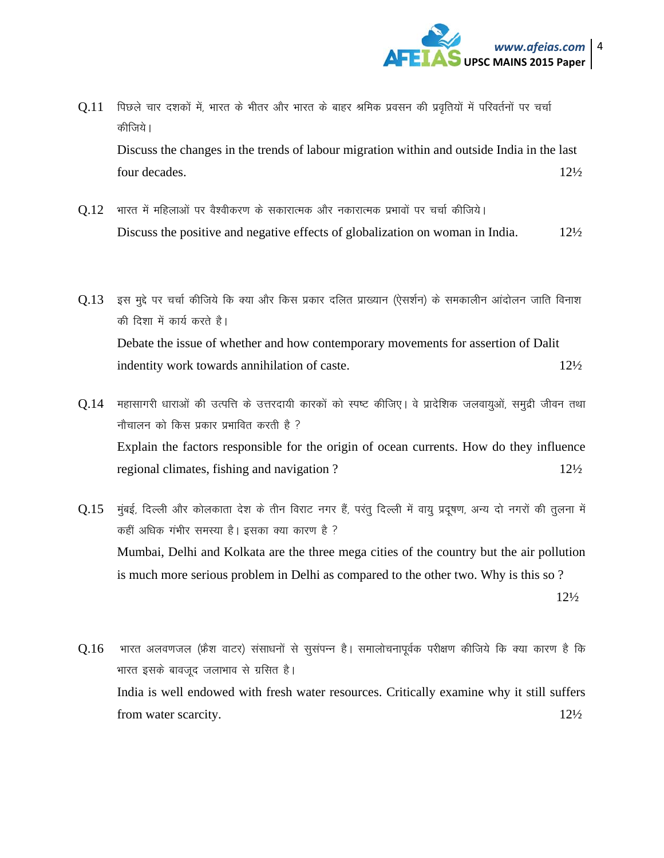

- $Q.11$  पिछले चार दशकों में, भारत के भीतर और भारत के बाहर श्रमिक प्रवसन की प्रवृतियों में परिवर्तनों पर चर्चा कीजिये। Discuss the changes in the trends of labour migration within and outside India in the last four decades. 12½
- $Q.12$  भारत में महिलाओं पर वैश्वीकरण के सकारात्मक और नकारात्मक प्रभावों पर चर्चा कीजिये। Discuss the positive and negative effects of globalization on woman in India. 12½
- $0.13$  इस मुद्दे पर चर्चा कीजिये कि क्या और किस प्रकार दलित प्राख्यान (ऐसर्शन) के समकालीन आंदोलन जाति विनाश की दिशा में कार्य करते है। Debate the issue of whether and how contemporary movements for assertion of Dalit indentity work towards annihilation of caste. 12½
- $Q.14$  महासागरी धाराओं की उत्पत्ति के उत्तरदायी कारकों को स्पष्ट कीजिए। वे प्रादेशिक जलवायुओं, समुद्री जीवन तथा नौचालन को किस प्रकार प्रभावित करती है ? Explain the factors responsible for the origin of ocean currents. How do they influence regional climates, fishing and navigation ? 12<sup>1</sup>/<sub>2</sub>
- $0.15$  मुंबई, दिल्ली और कोलकाता देश के तीन विराट नगर हैं, परंतु दिल्ली में वायु प्रदुषण, अन्य दो नगरों की तुलना में कहीं अधिक गंभीर समस्या है। इसका क्या कारण है ? Mumbai, Delhi and Kolkata are the three mega cities of the country but the air pollution is much more serious problem in Delhi as compared to the other two. Why is this so ?

12½

 $Q.16$  भारत अलवणजल (फ्रेंश वाटर) संसाधनों से सुसंपन्न है। समालोचनापूर्वक परीक्षण कीजिये कि क्या कारण है कि भारत इसके बावजूद जलाभाव से ग्रसित है। India is well endowed with fresh water resources. Critically examine why it still suffers from water scarcity.  $12\frac{1}{2}$